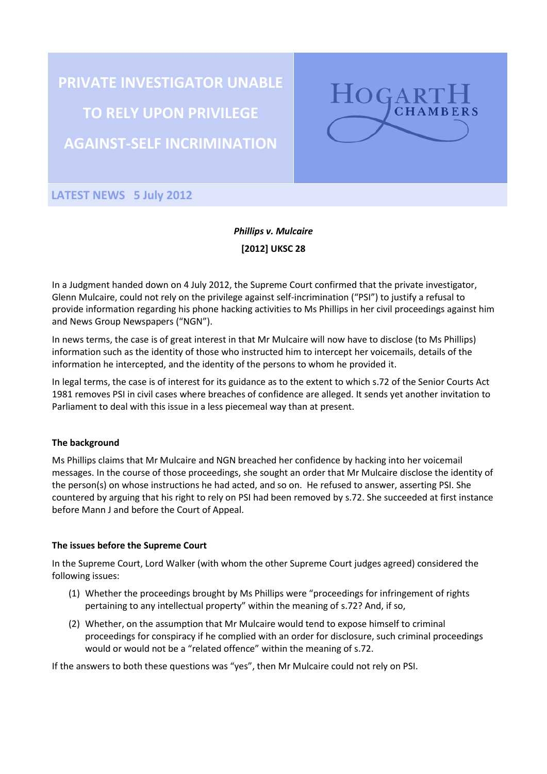**PRIVATE INVESTIGATOR UNABLE TO RELY UPON PRIVILEGE AGAINST-SELF INCRIMINATION**



**LATEST NEWS 5 July 2012**

# *Phillips v. Mulcaire* **[2012] UKSC 28**

In a Judgment handed down on 4 July 2012, the Supreme Court confirmed that the private investigator, Glenn Mulcaire, could not rely on the privilege against self-incrimination ("PSI") to justify a refusal to provide information regarding his phone hacking activities to Ms Phillips in her civil proceedings against him and News Group Newspapers ("NGN").

In news terms, the case is of great interest in that Mr Mulcaire will now have to disclose (to Ms Phillips) information such as the identity of those who instructed him to intercept her voicemails, details of the information he intercepted, and the identity of the persons to whom he provided it.

In legal terms, the case is of interest for its guidance as to the extent to which s.72 of the Senior Courts Act 1981 removes PSI in civil cases where breaches of confidence are alleged. It sends yet another invitation to Parliament to deal with this issue in a less piecemeal way than at present.

### **The background**

Ms Phillips claims that Mr Mulcaire and NGN breached her confidence by hacking into her voicemail messages. In the course of those proceedings, she sought an order that Mr Mulcaire disclose the identity of the person(s) on whose instructions he had acted, and so on. He refused to answer, asserting PSI. She countered by arguing that his right to rely on PSI had been removed by s.72. She succeeded at first instance before Mann J and before the Court of Appeal.

### **The issues before the Supreme Court**

In the Supreme Court, Lord Walker (with whom the other Supreme Court judges agreed) considered the following issues:

- (1) Whether the proceedings brought by Ms Phillips were "proceedings for infringement of rights pertaining to any intellectual property" within the meaning of s.72? And, if so,
- (2) Whether, on the assumption that Mr Mulcaire would tend to expose himself to criminal proceedings for conspiracy if he complied with an order for disclosure, such criminal proceedings would or would not be a "related offence" within the meaning of s.72.

If the answers to both these questions was "yes", then Mr Mulcaire could not rely on PSI.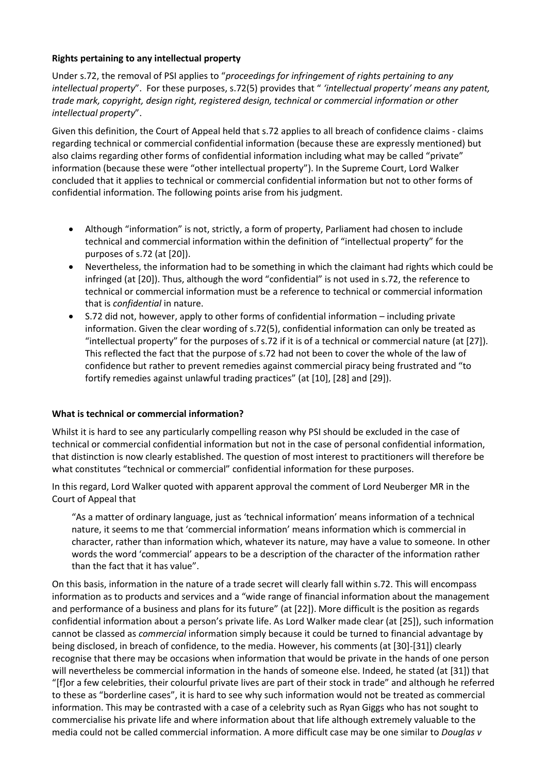## **Rights pertaining to any intellectual property**

Under s.72, the removal of PSI applies to "*proceedings for infringement of rights pertaining to any intellectual property*". For these purposes, s.72(5) provides that " *'intellectual property' means any patent, trade mark, copyright, design right, registered design, technical or commercial information or other intellectual property*".

Given this definition, the Court of Appeal held that s.72 applies to all breach of confidence claims - claims regarding technical or commercial confidential information (because these are expressly mentioned) but also claims regarding other forms of confidential information including what may be called "private" information (because these were "other intellectual property"). In the Supreme Court, Lord Walker concluded that it applies to technical or commercial confidential information but not to other forms of confidential information. The following points arise from his judgment.

- Although "information" is not, strictly, a form of property, Parliament had chosen to include technical and commercial information within the definition of "intellectual property" for the purposes of s.72 (at [20]).
- Nevertheless, the information had to be something in which the claimant had rights which could be infringed (at [20]). Thus, although the word "confidential" is not used in s.72, the reference to technical or commercial information must be a reference to technical or commercial information that is *confidential* in nature.
- S.72 did not, however, apply to other forms of confidential information including private information. Given the clear wording of s.72(5), confidential information can only be treated as "intellectual property" for the purposes of s.72 if it is of a technical or commercial nature (at [27]). This reflected the fact that the purpose of s.72 had not been to cover the whole of the law of confidence but rather to prevent remedies against commercial piracy being frustrated and "to fortify remedies against unlawful trading practices" (at [10], [28] and [29]).

## **What is technical or commercial information?**

Whilst it is hard to see any particularly compelling reason why PSI should be excluded in the case of technical or commercial confidential information but not in the case of personal confidential information, that distinction is now clearly established. The question of most interest to practitioners will therefore be what constitutes "technical or commercial" confidential information for these purposes.

In this regard, Lord Walker quoted with apparent approval the comment of Lord Neuberger MR in the Court of Appeal that

"As a matter of ordinary language, just as 'technical information' means information of a technical nature, it seems to me that 'commercial information' means information which is commercial in character, rather than information which, whatever its nature, may have a value to someone. In other words the word 'commercial' appears to be a description of the character of the information rather than the fact that it has value".

On this basis, information in the nature of a trade secret will clearly fall within s.72. This will encompass information as to products and services and a "wide range of financial information about the management and performance of a business and plans for its future" (at [22]). More difficult is the position as regards confidential information about a person's private life. As Lord Walker made clear (at [25]), such information cannot be classed as *commercial* information simply because it could be turned to financial advantage by being disclosed, in breach of confidence, to the media. However, his comments (at [30]-[31]) clearly recognise that there may be occasions when information that would be private in the hands of one person will nevertheless be commercial information in the hands of someone else. Indeed, he stated (at [31]) that "[f]or a few celebrities, their colourful private lives are part of their stock in trade" and although he referred to these as "borderline cases", it is hard to see why such information would not be treated as commercial information. This may be contrasted with a case of a celebrity such as Ryan Giggs who has not sought to commercialise his private life and where information about that life although extremely valuable to the media could not be called commercial information. A more difficult case may be one similar to *Douglas v*